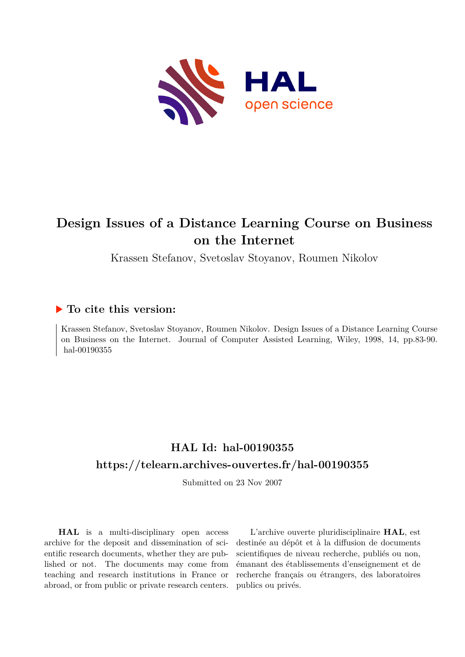

# **Design Issues of a Distance Learning Course on Business on the Internet**

Krassen Stefanov, Svetoslav Stoyanov, Roumen Nikolov

# **To cite this version:**

Krassen Stefanov, Svetoslav Stoyanov, Roumen Nikolov. Design Issues of a Distance Learning Course on Business on the Internet. Journal of Computer Assisted Learning, Wiley, 1998, 14, pp.83-90. hal-00190355

# **HAL Id: hal-00190355 <https://telearn.archives-ouvertes.fr/hal-00190355>**

Submitted on 23 Nov 2007

**HAL** is a multi-disciplinary open access archive for the deposit and dissemination of scientific research documents, whether they are published or not. The documents may come from teaching and research institutions in France or abroad, or from public or private research centers.

L'archive ouverte pluridisciplinaire **HAL**, est destinée au dépôt et à la diffusion de documents scientifiques de niveau recherche, publiés ou non, émanant des établissements d'enseignement et de recherche français ou étrangers, des laboratoires publics ou privés.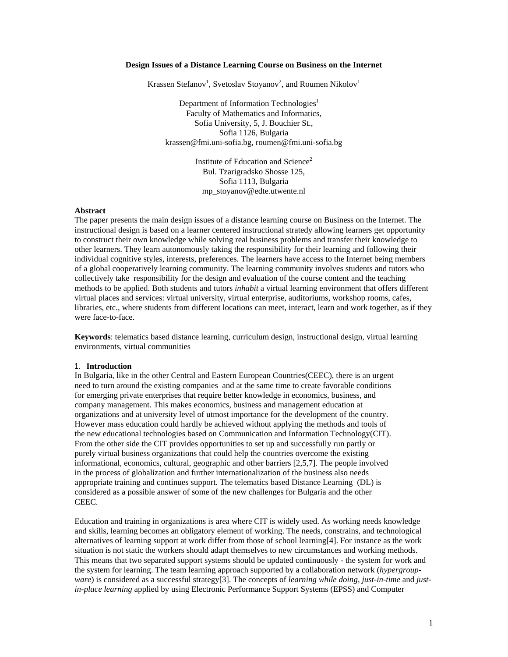#### **Design Issues of a Distance Learning Course on Business on the Internet**

Krassen Stefanov<sup>1</sup>, Svetoslav Stoyanov<sup>2</sup>, and Roumen Nikolov<sup>1</sup>

Department of Information Technologies<sup>1</sup> Faculty of Mathematics and Informatics, Sofia University, 5, J. Bouchier St., Sofia 1126, Bulgaria krassen@fmi.uni-sofia.bg, roumen@fmi.uni-sofia.bg

> Institute of Education and Science<sup>2</sup> Bul. Tzarigradsko Shosse 125, Sofia 1113, Bulgaria mp\_stoyanov@edte.utwente.nl

#### **Abstract**

The paper presents the main design issues of a distance learning course on Business on the Internet. The instructional design is based on a learner centered instructional stratedy allowing learners get opportunity to construct their own knowledge while solving real business problems and transfer their knowledge to other learners. They learn autonomously taking the responsibility for their learning and following their individual cognitive styles, interests, preferences. The learners have access to the Internet being members of a global cooperatively learning community. The learning community involves students and tutors who collectively take responsibility for the design and evaluation of the course content and the teaching methods to be applied. Both students and tutors *inhabit* a virtual learning environment that offers different virtual places and services: virtual university, virtual enterprise, auditoriums, workshop rooms, cafes, libraries, etc., where students from different locations can meet, interact, learn and work together, as if they were face-to-face.

**Keywords**: telematics based distance learning, curriculum design, instructional design, virtual learning environments, virtual communities

#### 1. **Introduction**

In Bulgaria, like in the other Central and Eastern European Countries(CEEC), there is an urgent need to turn around the existing companies and at the same time to create favorable conditions for emerging private enterprises that require better knowledge in economics, business, and company management. This makes economics, business and management education at organizations and at university level of utmost importance for the development of the country. However mass education could hardly be achieved without applying the methods and tools of the new educational technologies based on Communication and Information Technology(CIT). From the other side the CIT provides opportunities to set up and successfully run partly or purely virtual business organizations that could help the countries overcome the existing informational, economics, cultural, geographic and other barriers [2,5,7]. The people involved in the process of globalization and further internationalization of the business also needs appropriate training and continues support. The telematics based Distance Learning (DL) is considered as a possible answer of some of the new challenges for Bulgaria and the other CEEC.

Education and training in organizations is area where CIT is widely used. As working needs knowledge and skills, learning becomes an obligatory element of working. The needs, constrains, and technological alternatives of learning support at work differ from those of school learning[4]. For instance as the work situation is not static the workers should adapt themselves to new circumstances and working methods. This means that two separated support systems should be updated continuously - the system for work and the system for learning. The team learning approach supported by a collaboration network (*hypergroupware*) is considered as a successful strategy[3]. The concepts of *learning while doing*, *just-in-time* and *justin-place learning* applied by using Electronic Performance Support Systems (EPSS) and Computer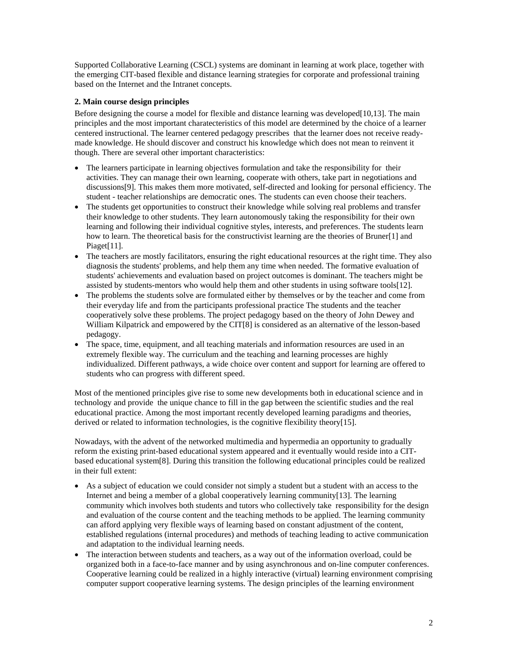Supported Collaborative Learning (CSCL) systems are dominant in learning at work place, together with the emerging CIT-based flexible and distance learning strategies for corporate and professional training based on the Internet and the Intranet concepts.

# **2. Main course design principles**

Before designing the course a model for flexible and distance learning was developed [10,13]. The main principles and the most important charatecteristics of this model are determined by the choice of a learner centered instructional. The learner centered pedagogy prescribes that the learner does not receive readymade knowledge. He should discover and construct his knowledge which does not mean to reinvent it though. There are several other important characteristics:

- The learners participate in learning objectives formulation and take the responsibility for their activities. They can manage their own learning, cooperate with others, take part in negotiations and discussions[9]. This makes them more motivated, self-directed and looking for personal efficiency. The student - teacher relationships are democratic ones. The students can even choose their teachers.
- The students get opportunities to construct their knowledge while solving real problems and transfer their knowledge to other students. They learn autonomously taking the responsibility for their own learning and following their individual cognitive styles, interests, and preferences. The students learn how to learn. The theoretical basis for the constructivist learning are the theories of Bruner[1] and Piaget[11].
- The teachers are mostly facilitators, ensuring the right educational resources at the right time. They also diagnosis the students' problems, and help them any time when needed. The formative evaluation of students' achievements and evaluation based on project outcomes is dominant. The teachers might be assisted by students-mentors who would help them and other students in using software tools[12].
- The problems the students solve are formulated either by themselves or by the teacher and come from their everyday life and from the participants professional practice The students and the teacher cooperatively solve these problems. The project pedagogy based on the theory of John Dewey and William Kilpatrick and empowered by the CIT[8] is considered as an alternative of the lesson-based pedagogy.
- The space, time, equipment, and all teaching materials and information resources are used in an extremely flexible way. The curriculum and the teaching and learning processes are highly individualized. Different pathways, a wide choice over content and support for learning are offered to students who can progress with different speed.

Most of the mentioned principles give rise to some new developments both in educational science and in technology and provide the unique chance to fill in the gap between the scientific studies and the real educational practice. Among the most important recently developed learning paradigms and theories, derived or related to information technologies, is the cognitive flexibility theory[15].

Nowadays, with the advent of the networked multimedia and hypermedia an opportunity to gradually reform the existing print-based educational system appeared and it eventually would reside into a CITbased educational system[8]. During this transition the following educational principles could be realized in their full extent:

- As a subject of education we could consider not simply a student but a student with an access to the Internet and being a member of a global cooperatively learning community[13]. The learning community which involves both students and tutors who collectively take responsibility for the design and evaluation of the course content and the teaching methods to be applied. The learning community can afford applying very flexible ways of learning based on constant adjustment of the content, established regulations (internal procedures) and methods of teaching leading to active communication and adaptation to the individual learning needs.
- The interaction between students and teachers, as a way out of the information overload, could be organized both in a face-to-face manner and by using asynchronous and on-line computer conferences. Cooperative learning could be realized in a highly interactive (virtual) learning environment comprising computer support cooperative learning systems. The design principles of the learning environment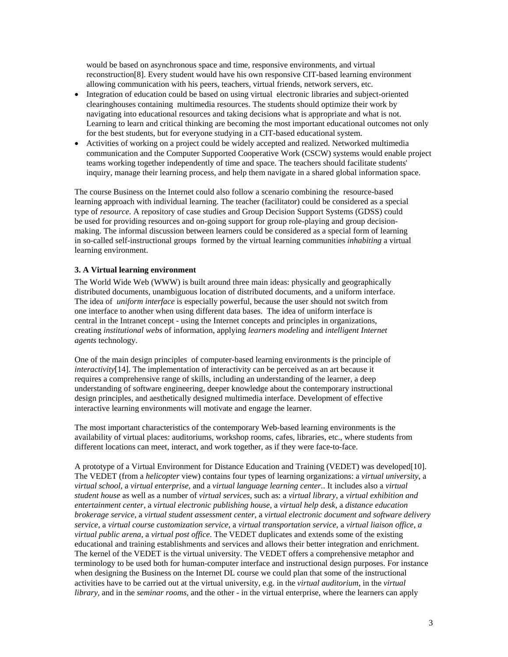would be based on asynchronous space and time, responsive environments, and virtual reconstruction[8]. Every student would have his own responsive CIT-based learning environment allowing communication with his peers, teachers, virtual friends, network servers, etc.

- Integration of education could be based on using virtual electronic libraries and subject-oriented clearinghouses containing multimedia resources. The students should optimize their work by navigating into educational resources and taking decisions what is appropriate and what is not. Learning to learn and critical thinking are becoming the most important educational outcomes not only for the best students, but for everyone studying in a CIT-based educational system.
- Activities of working on a project could be widely accepted and realized. Networked multimedia communication and the Computer Supported Cooperative Work (CSCW) systems would enable project teams working together independently of time and space. The teachers should facilitate students' inquiry, manage their learning process, and help them navigate in a shared global information space.

The course Business on the Internet could also follow a scenario combining the resource-based learning approach with individual learning. The teacher (facilitator) could be considered as a special type of *resource*. A repository of case studies and Group Decision Support Systems (GDSS) could be used for providing resources and on-going support for group role-playing and group decisionmaking. The informal discussion between learners could be considered as a special form of learning in so-called self-instructional groups formed by the virtual learning communities *inhabiting* a virtual learning environment.

# **3. A Virtual learning environment**

The World Wide Web (WWW) is built around three main ideas: physically and geographically distributed documents, unambiguous location of distributed documents, and a uniform interface. The idea of *uniform interface* is especially powerful, because the user should not switch from one interface to another when using different data bases. The idea of uniform interface is central in the Intranet concept - using the Internet concepts and principles in organizations, creating *institutional webs* of information, applying *learners modeling* and *intelligent Internet agents* technology.

One of the main design principles of computer-based learning environments is the principle of *interactivity*[14]. The implementation of interactivity can be perceived as an art because it requires a comprehensive range of skills, including an understanding of the learner, a deep understanding of software engineering, deeper knowledge about the contemporary instructional design principles, and aesthetically designed multimedia interface. Development of effective interactive learning environments will motivate and engage the learner.

The most important characteristics of the contemporary Web-based learning environments is the availability of virtual places: auditoriums, workshop rooms, cafes, libraries, etc., where students from different locations can meet, interact, and work together, as if they were face-to-face.

A prototype of a Virtual Environment for Distance Education and Training (VEDET) was developed[10]. The VEDET (from a *helicopter* view) contains four types of learning organizations: a *virtual university*, a *virtual school*, a *virtual enterprise*, and a *virtual language learning center.*. It includes also a *virtual student house* as well as a number of *virtual services*, such as: a *virtual library*, a *virtual exhibition and entertainment center*, a *virtual electronic publishing house*, a *virtual help desk*, a *distance education brokerage service*, a *virtual student assessment center*, a *virtual electronic document and software delivery service*, a *virtual course customization service*, a *virtual transportation service*, a *virtual liaison office*, *a virtual public arena*, a *virtual post office*. The VEDET duplicates and extends some of the existing educational and training establishments and services and allows their better integration and enrichment. The kernel of the VEDET is the virtual university. The VEDET offers a comprehensive metaphor and terminology to be used both for human-computer interface and instructional design purposes. For instance when designing the Business on the Internet DL course we could plan that some of the instructional activities have to be carried out at the virtual university, e.g. in the *virtual auditorium*, in the *virtual library*, and in the *seminar rooms*, and the other - in the virtual enterprise, where the learners can apply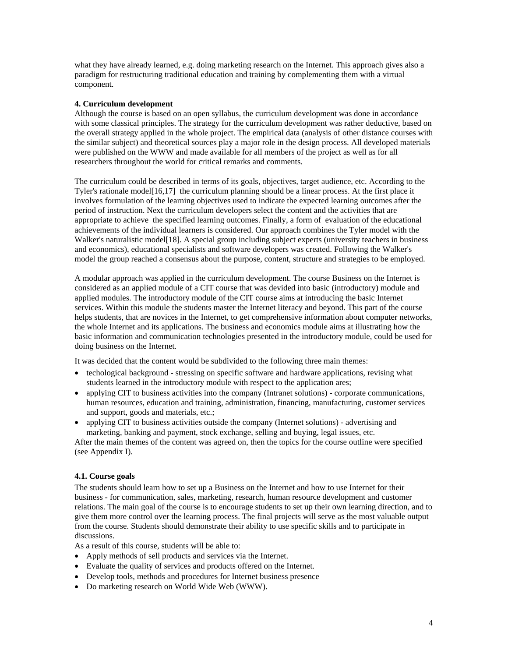what they have already learned, e.g. doing marketing research on the Internet. This approach gives also a paradigm for restructuring traditional education and training by complementing them with a virtual component.

#### **4. Curriculum development**

Although the course is based on an open syllabus, the curriculum development was done in accordance with some classical principles. The strategy for the curriculum development was rather deductive, based on the overall strategy applied in the whole project. The empirical data (analysis of other distance courses with the similar subject) and theoretical sources play a major role in the design process. All developed materials were published on the WWW and made available for all members of the project as well as for all researchers throughout the world for critical remarks and comments.

The curriculum could be described in terms of its goals, objectives, target audience, etc. According to the Tyler's rationale model[16,17] the curriculum planning should be a linear process. At the first place it involves formulation of the learning objectives used to indicate the expected learning outcomes after the period of instruction. Next the curriculum developers select the content and the activities that are appropriate to achieve the specified learning outcomes. Finally, a form of evaluation of the educational achievements of the individual learners is considered. Our approach combines the Tyler model with the Walker's naturalistic model[18]. A special group including subject experts (university teachers in business and economics), educational specialists and software developers was created. Following the Walker's model the group reached a consensus about the purpose, content, structure and strategies to be employed.

A modular approach was applied in the curriculum development. The course Business on the Internet is considered as an applied module of a CIT course that was devided into basic (introductory) module and applied modules. The introductory module of the CIT course aims at introducing the basic Internet services. Within this module the students master the Internet literacy and beyond. This part of the course helps students, that are novices in the Internet, to get comprehensive information about computer networks, the whole Internet and its applications. The business and economics module aims at illustrating how the basic information and communication technologies presented in the introductory module, could be used for doing business on the Internet.

It was decided that the content would be subdivided to the following three main themes:

- techological background stressing on specific software and hardware applications, revising what students learned in the introductory module with respect to the application ares;
- applying CIT to business activities into the company (Intranet solutions) corporate communications, human resources, education and training, administration, financing, manufacturing, customer services and support, goods and materials, etc.;
- applying CIT to business activities outside the company (Internet solutions) advertising and marketing, banking and payment, stock exchange, selling and buying, legal issues, etc.

After the main themes of the content was agreed on, then the topics for the course outline were specified (see Appendix I).

#### **4.1. Course goals**

The students should learn how to set up a Business on the Internet and how to use Internet for their business - for communication, sales, marketing, research, human resource development and customer relations. The main goal of the course is to encourage students to set up their own learning direction, and to give them more control over the learning process. The final projects will serve as the most valuable output from the course. Students should demonstrate their ability to use specific skills and to participate in discussions.

As a result of this course, students will be able to:

- Apply methods of sell products and services via the Internet.
- Evaluate the quality of services and products offered on the Internet.
- Develop tools, methods and procedures for Internet business presence
- Do marketing research on World Wide Web (WWW).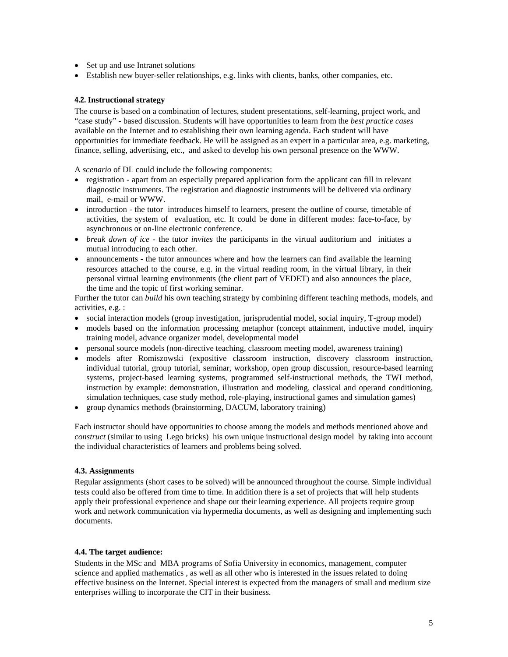- Set up and use Intranet solutions
- Establish new buyer-seller relationships, e.g. links with clients, banks, other companies, etc.

### **4.2. Instructional strategy**

The course is based on a combination of lectures, student presentations, self-learning, project work, and "case study" - based discussion. Students will have opportunities to learn from the *best practice cases* available on the Internet and to establishing their own learning agenda. Each student will have opportunities for immediate feedback. He will be assigned as an expert in a particular area, e.g. marketing, finance, selling, advertising, etc., and asked to develop his own personal presence on the WWW.

A *scenario* of DL could include the following components:

- registration apart from an especially prepared application form the applicant can fill in relevant diagnostic instruments. The registration and diagnostic instruments will be delivered via ordinary mail, e-mail or WWW.
- introduction the tutor introduces himself to learners, present the outline of course, timetable of activities, the system of evaluation, etc. It could be done in different modes: face-to-face, by asynchronous or on-line electronic conference.
- *break down of ice* the tutor *invites* the participants in the virtual auditorium and initiates a mutual introducing to each other.
- announcements the tutor announces where and how the learners can find available the learning resources attached to the course, e.g. in the virtual reading room, in the virtual library, in their personal virtual learning environments (the client part of VEDET) and also announces the place, the time and the topic of first working seminar.

Further the tutor can *build* his own teaching strategy by combining different teaching methods, models, and activities, e.g. :

- social interaction models (group investigation, jurisprudential model, social inquiry, T-group model)
- models based on the information processing metaphor (concept attainment, inductive model, inquiry training model, advance organizer model, developmental model
- personal source models (non-directive teaching, classroom meeting model, awareness training)
- models after Romiszowski (expositive classroom instruction, discovery classroom instruction, individual tutorial, group tutorial, seminar, workshop, open group discussion, resource-based learning systems, project-based learning systems, programmed self-instructional methods, the TWI method, instruction by example: demonstration, illustration and modeling, classical and operand conditioning, simulation techniques, case study method, role-playing, instructional games and simulation games)
- group dynamics methods (brainstorming, DACUM, laboratory training)

Each instructor should have opportunities to choose among the models and methods mentioned above and *construct* (similar to using Lego bricks) his own unique instructional design model by taking into account the individual characteristics of learners and problems being solved.

# **4.3. Assignments**

Regular assignments (short cases to be solved) will be announced throughout the course. Simple individual tests could also be offered from time to time. In addition there is a set of projects that will help students apply their professional experience and shape out their learning experience. All projects require group work and network communication via hypermedia documents, as well as designing and implementing such documents.

# **4.4. The target audience:**

Students in the MSc and MBA programs of Sofia University in economics, management, computer science and applied mathematics , as well as all other who is interested in the issues related to doing effective business on the Internet. Special interest is expected from the managers of small and medium size enterprises willing to incorporate the CIT in their business.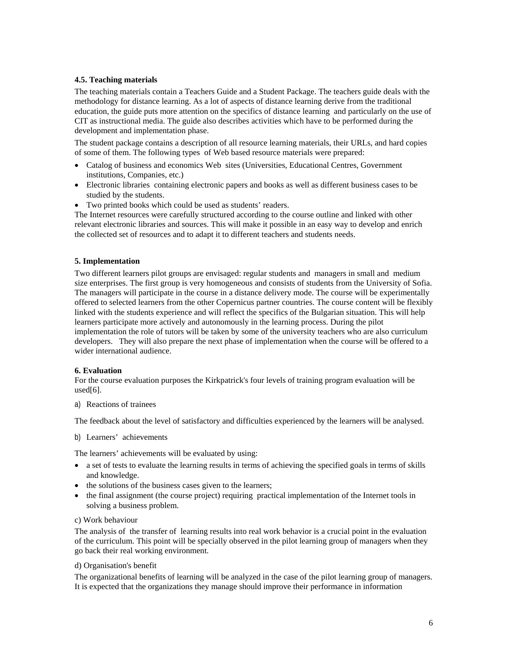#### **4.5. Teaching materials**

The teaching materials contain a Teachers Guide and a Student Package. The teachers guide deals with the methodology for distance learning. As a lot of aspects of distance learning derive from the traditional education, the guide puts more attention on the specifics of distance learning and particularly on the use of CIT as instructional media. The guide also describes activities which have to be performed during the development and implementation phase.

The student package contains a description of all resource learning materials, their URLs, and hard copies of some of them. The following types of Web based resource materials were prepared:

- Catalog of business and economics Web sites (Universities, Educational Centres, Government institutions, Companies, etc.)
- Electronic libraries containing electronic papers and books as well as different business cases to be studied by the students.
- Two printed books which could be used as students' readers.

The Internet resources were carefully structured according to the course outline and linked with other relevant electronic libraries and sources. This will make it possible in an easy way to develop and enrich the collected set of resources and to adapt it to different teachers and students needs.

#### **5. Implementation**

Two different learners pilot groups are envisaged: regular students and managers in small and medium size enterprises. The first group is very homogeneous and consists of students from the University of Sofia. The managers will participate in the course in a distance delivery mode. The course will be experimentally offered to selected learners from the other Copernicus partner countries. The course content will be flexibly linked with the students experience and will reflect the specifics of the Bulgarian situation. This will help learners participate more actively and autonomously in the learning process. During the pilot implementation the role of tutors will be taken by some of the university teachers who are also curriculum developers. They will also prepare the next phase of implementation when the course will be offered to a wider international audience.

#### **6. Evaluation**

For the course evaluation purposes the Kirkpatrick's four levels of training program evaluation will be used[6].

a) Reactions of trainees

The feedback about the level of satisfactory and difficulties experienced by the learners will be analysed.

b) Learners' achievements

The learners' achievements will be evaluated by using:

- a set of tests to evaluate the learning results in terms of achieving the specified goals in terms of skills and knowledge.
- the solutions of the business cases given to the learners;
- the final assignment (the course project) requiring practical implementation of the Internet tools in solving a business problem.

#### c) Work behaviour

The analysis of the transfer of learning results into real work behavior is a crucial point in the evaluation of the curriculum. This point will be specially observed in the pilot learning group of managers when they go back their real working environment.

### d) Organisation's benefit

The organizational benefits of learning will be analyzed in the case of the pilot learning group of managers. It is expected that the organizations they manage should improve their performance in information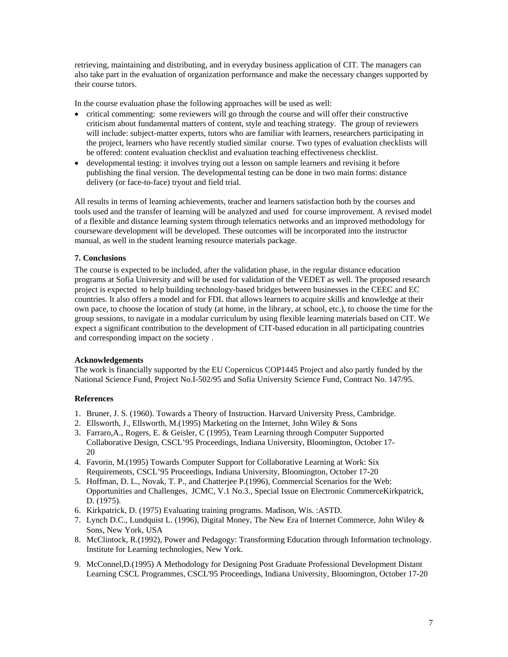retrieving, maintaining and distributing, and in everyday business application of CIT. The managers can also take part in the evaluation of organization performance and make the necessary changes supported by their course tutors.

In the course evaluation phase the following approaches will be used as well:

- critical commenting: some reviewers will go through the course and will offer their constructive criticism about fundamental matters of content, style and teaching strategy. The group of reviewers will include: subject-matter experts, tutors who are familiar with learners, researchers participating in the project, learners who have recently studied similar course. Two types of evaluation checklists will be offered: content evaluation checklist and evaluation teaching effectiveness checklist.
- developmental testing: it involves trying out a lesson on sample learners and revising it before publishing the final version. The developmental testing can be done in two main forms: distance delivery (or face-to-face) tryout and field trial.

All results in terms of learning achievements, teacher and learners satisfaction both by the courses and tools used and the transfer of learning will be analyzed and used for course improvement. A revised model of a flexible and distance learning system through telematics networks and an improved methodology for courseware development will be developed. These outcomes will be incorporated into the instructor manual, as well in the student learning resource materials package.

# **7. Conclusions**

The course is expected to be included, after the validation phase, in the regular distance education programs at Sofia University and will be used for validation of the VEDET as well. The proposed research project is expected to help building technology-based bridges between businesses in the CEEC and EC countries. It also offers a model and for FDL that allows learners to acquire skills and knowledge at their own pace, to choose the location of study (at home, in the library, at school, etc.), to choose the time for the group sessions, to navigate in a modular curriculum by using flexible learning materials based on CIT. We expect a significant contribution to the development of CIT-based education in all participating countries and corresponding impact on the society .

# **Acknowledgements**

The work is financially supported by the EU Copernicus COP1445 Project and also partly funded by the National Science Fund, Project No.I-502/95 and Sofia University Science Fund, Contract No. 147/95.

# **References**

- 1. Bruner, J. S. (1960). Towards a Theory of Instruction. Harvard University Press, Cambridge.
- 2. Ellsworth, J., Ellsworth, M.(1995) Marketing on the Internet, John Wiley & Sons
- 3. Farraro,A., Rogers, E. & Geisler, C (1995), Team Learning through Computer Supported Collaborative Design, CSCL'95 Proceedings, Indiana University, Bloomington, October 17- 20
- 4. Favorin, M.(1995) Towards Computer Support for Collaborative Learning at Work: Six Requirements, CSCL'95 Proceedings, Indiana University, Bloomington, October 17-20
- 5. Hoffman, D. L., Novak, T. P., and Chatterjee P.(1996), Commercial Scenarios for the Web: Opportunities and Challenges, JCMC, V.1 No.3., Special Issue on Electronic CommerceKirkpatrick, D. (1975).
- 6. Kirkpatrick, D. (1975) Evaluating training programs. Madison, Wis. :ASTD.
- 7. Lynch D.C., Lundquist L. (1996), Digital Money, The New Era of Internet Commerce, John Wiley & Sons, New York, USA
- 8. McClintock, R.(1992), Power and Pedagogy: Transforming Education through Information technology. Institute for Learning technologies, New York.
- 9. McConnel,D.(1995) A Methodology for Designing Post Graduate Professional Development Distant Learning CSCL Programmes, CSCL'95 Proceedings, Indiana University, Bloomington, October 17-20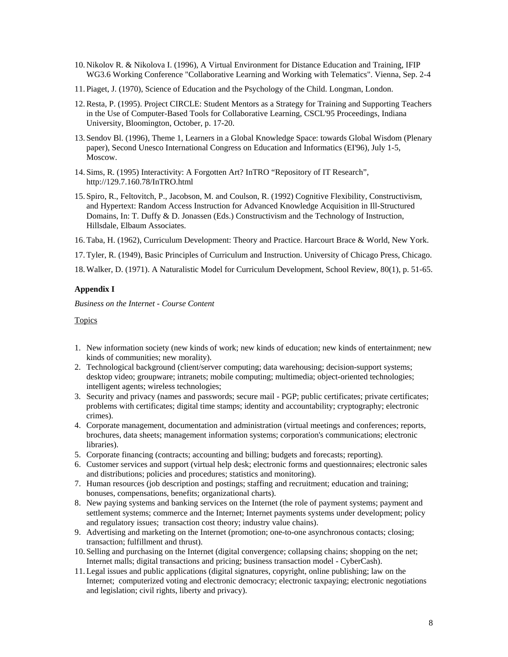- 10. Nikolov R. & Nikolova I. (1996), A Virtual Environment for Distance Education and Training, IFIP WG3.6 Working Conference "Collaborative Learning and Working with Telematics". Vienna, Sep. 2-4
- 11. Piaget, J. (1970), Science of Education and the Psychology of the Child. Longman, London.
- 12.Resta, P. (1995). Project CIRCLE: Student Mentors as a Strategy for Training and Supporting Teachers in the Use of Computer-Based Tools for Collaborative Learning, CSCL'95 Proceedings, Indiana University, Bloomington, October, p. 17-20.
- 13. Sendov Bl. (1996), Theme 1, Learners in a Global Knowledge Space: towards Global Wisdom (Plenary paper), Second Unesco International Congress on Education and Informatics (EI'96), July 1-5, Moscow.
- 14. Sims, R. (1995) Interactivity: A Forgotten Art? InTRO "Repository of IT Research", http://129.7.160.78/InTRO.html
- 15. Spiro, R., Feltovitch, P., Jacobson, M. and Coulson, R. (1992) Cognitive Flexibility, Constructivism, and Hypertext: Random Access Instruction for Advanced Knowledge Acquisition in Ill-Structured Domains, In: T. Duffy & D. Jonassen (Eds.) Constructivism and the Technology of Instruction, Hillsdale, Elbaum Associates.
- 16. Taba, H. (1962), Curriculum Development: Theory and Practice. Harcourt Brace & World, New York.
- 17. Tyler, R. (1949), Basic Principles of Curriculum and Instruction. University of Chicago Press, Chicago.

18. Walker, D. (1971). A Naturalistic Model for Curriculum Development, School Review, 80(1), p. 51-65.

#### **Appendix I**

*Business on the Internet - Course Content* 

#### Topics

- 1. New information society (new kinds of work; new kinds of education; new kinds of entertainment; new kinds of communities; new morality).
- 2. Technological background (client/server computing; data warehousing; decision-support systems; desktop video; groupware; intranets; mobile computing; multimedia; object-oriented technologies; intelligent agents; wireless technologies;
- 3. Security and privacy (names and passwords; secure mail PGP; public certificates; private certificates; problems with certificates; digital time stamps; identity and accountability; cryptography; electronic crimes).
- 4. Corporate management, documentation and administration (virtual meetings and conferences; reports, brochures, data sheets; management information systems; corporation's communications; electronic libraries).
- 5. Corporate financing (contracts; accounting and billing; budgets and forecasts; reporting).
- 6. Customer services and support (virtual help desk; electronic forms and questionnaires; electronic sales and distributions; policies and procedures; statistics and monitoring).
- 7. Human resources (job description and postings; staffing and recruitment; education and training; bonuses, compensations, benefits; organizational charts).
- 8. New paying systems and banking services on the Internet (the role of payment systems; payment and settlement systems; commerce and the Internet; Internet payments systems under development; policy and regulatory issues; transaction cost theory; industry value chains).
- 9. Advertising and marketing on the Internet (promotion; one-to-one asynchronous contacts; closing; transaction; fulfillment and thrust).
- 10. Selling and purchasing on the Internet (digital convergence; collapsing chains; shopping on the net; Internet malls; digital transactions and pricing; business transaction model - CyberCash).
- 11. Legal issues and public applications (digital signatures, copyright, online publishing; law on the Internet; computerized voting and electronic democracy; electronic taxpaying; electronic negotiations and legislation; civil rights, liberty and privacy).